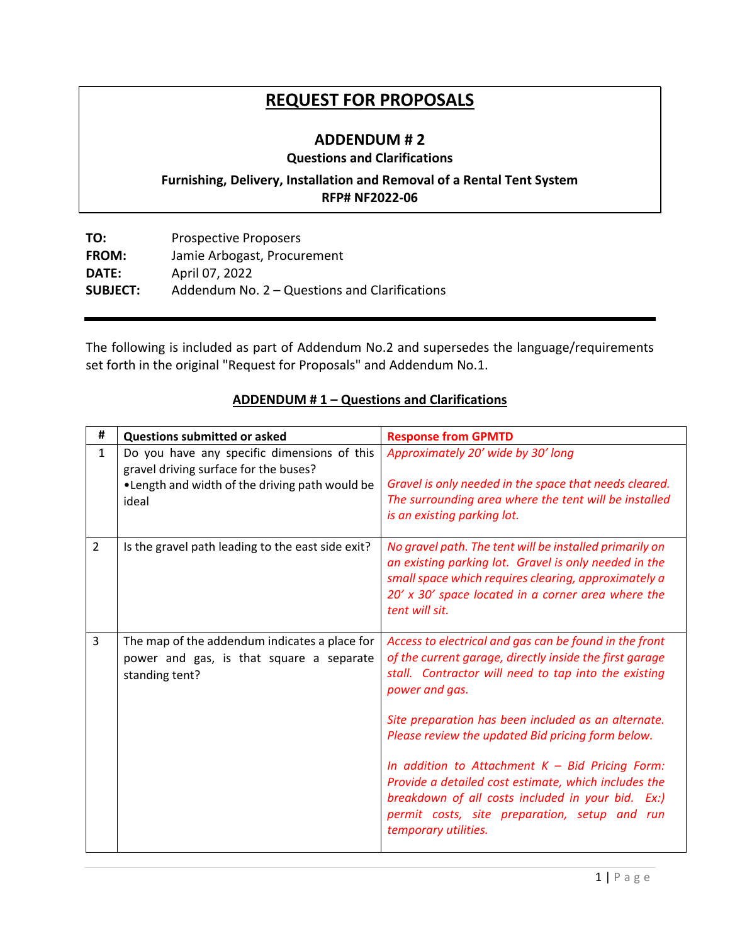# **REQUEST FOR PROPOSALS**

## **ADDENDUM # 2**

### **Questions and Clarifications**

## **Furnishing, Delivery, Installation and Removal of a Rental Tent System RFP# NF2022-06**

**TO:** Prospective Proposers **FROM:** Jamie Arbogast, Procurement **DATE:** April 07, 2022 **SUBJECT:** Addendum No. 2 – Questions and Clarifications

The following is included as part of Addendum No.2 and supersedes the language/requirements set forth in the original "Request for Proposals" and Addendum No.1.

| #              | <b>Questions submitted or asked</b>                                                                                                              | <b>Response from GPMTD</b>                                                                                                                                                                                                                                                                                                                                                                                                                                                                                                                         |
|----------------|--------------------------------------------------------------------------------------------------------------------------------------------------|----------------------------------------------------------------------------------------------------------------------------------------------------------------------------------------------------------------------------------------------------------------------------------------------------------------------------------------------------------------------------------------------------------------------------------------------------------------------------------------------------------------------------------------------------|
| $\mathbf{1}$   | Do you have any specific dimensions of this<br>gravel driving surface for the buses?<br>. Length and width of the driving path would be<br>ideal | Approximately 20' wide by 30' long<br>Gravel is only needed in the space that needs cleared.<br>The surrounding area where the tent will be installed<br>is an existing parking lot.                                                                                                                                                                                                                                                                                                                                                               |
| $\overline{2}$ | Is the gravel path leading to the east side exit?                                                                                                | No gravel path. The tent will be installed primarily on<br>an existing parking lot. Gravel is only needed in the<br>small space which requires clearing, approximately a<br>20' x 30' space located in a corner area where the<br>tent will sit.                                                                                                                                                                                                                                                                                                   |
| 3              | The map of the addendum indicates a place for<br>power and gas, is that square a separate<br>standing tent?                                      | Access to electrical and gas can be found in the front<br>of the current garage, directly inside the first garage<br>stall. Contractor will need to tap into the existing<br>power and gas.<br>Site preparation has been included as an alternate.<br>Please review the updated Bid pricing form below.<br>In addition to Attachment $K - Bid$ Pricing Form:<br>Provide a detailed cost estimate, which includes the<br>breakdown of all costs included in your bid. Ex:)<br>permit costs, site preparation, setup and run<br>temporary utilities. |

### **ADDENDUM # 1 – Questions and Clarifications**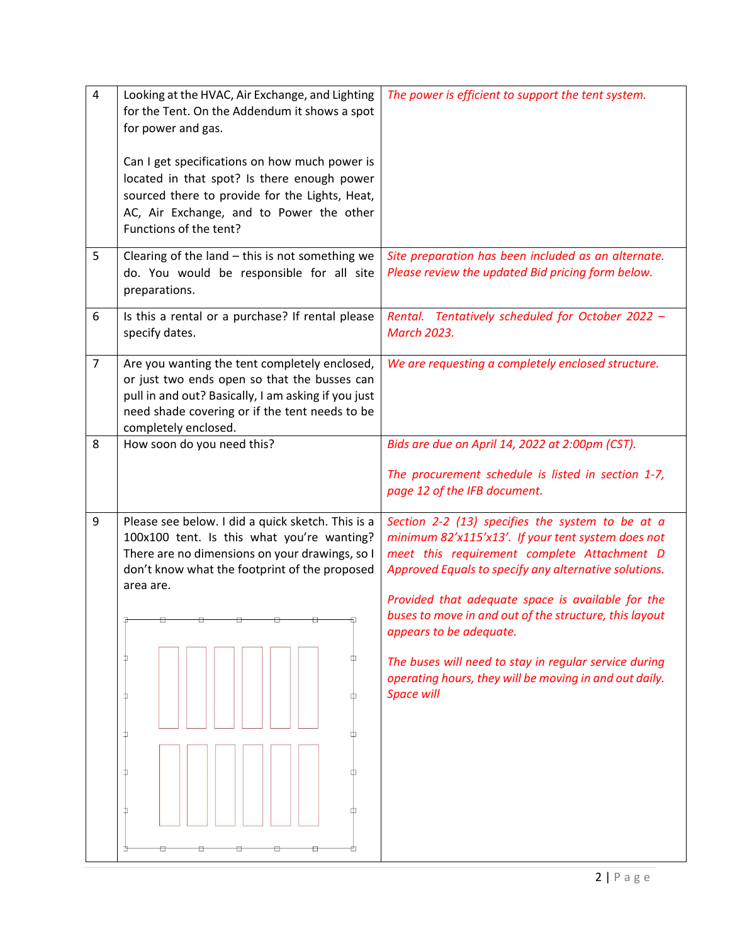| $\overline{4}$   | Looking at the HVAC, Air Exchange, and Lighting<br>for the Tent. On the Addendum it shows a spot<br>for power and gas.<br>Can I get specifications on how much power is<br>located in that spot? Is there enough power<br>sourced there to provide for the Lights, Heat,<br>AC, Air Exchange, and to Power the other<br>Functions of the tent? | The power is efficient to support the tent system.                                                                                                                                                                                                                                                                            |
|------------------|------------------------------------------------------------------------------------------------------------------------------------------------------------------------------------------------------------------------------------------------------------------------------------------------------------------------------------------------|-------------------------------------------------------------------------------------------------------------------------------------------------------------------------------------------------------------------------------------------------------------------------------------------------------------------------------|
| 5                | Clearing of the land $-$ this is not something we<br>do. You would be responsible for all site<br>preparations.                                                                                                                                                                                                                                | Site preparation has been included as an alternate.<br>Please review the updated Bid pricing form below.                                                                                                                                                                                                                      |
| 6                | Is this a rental or a purchase? If rental please<br>specify dates.                                                                                                                                                                                                                                                                             | Rental. Tentatively scheduled for October 2022 -<br><b>March 2023.</b>                                                                                                                                                                                                                                                        |
| $\overline{7}$   | Are you wanting the tent completely enclosed,<br>or just two ends open so that the busses can<br>pull in and out? Basically, I am asking if you just<br>need shade covering or if the tent needs to be<br>completely enclosed.                                                                                                                 | We are requesting a completely enclosed structure.                                                                                                                                                                                                                                                                            |
| 8                | How soon do you need this?                                                                                                                                                                                                                                                                                                                     | Bids are due on April 14, 2022 at 2:00pm (CST).                                                                                                                                                                                                                                                                               |
|                  |                                                                                                                                                                                                                                                                                                                                                | The procurement schedule is listed in section 1-7,<br>page 12 of the IFB document.                                                                                                                                                                                                                                            |
| $\boldsymbol{9}$ | Please see below. I did a quick sketch. This is a<br>100x100 tent. Is this what you're wanting?<br>There are no dimensions on your drawings, so I<br>don't know what the footprint of the proposed<br>area are.                                                                                                                                | Section 2-2 (13) specifies the system to be at a<br>minimum 82'x115'x13'. If your tent system does not<br>meet this requirement complete Attachment D<br>Approved Equals to specify any alternative solutions.<br>Provided that adequate space is available for the<br>buses to move in and out of the structure, this layout |
|                  |                                                                                                                                                                                                                                                                                                                                                | appears to be adequate.                                                                                                                                                                                                                                                                                                       |
|                  |                                                                                                                                                                                                                                                                                                                                                | The buses will need to stay in regular service during<br>operating hours, they will be moving in and out daily.<br><b>Space will</b>                                                                                                                                                                                          |
|                  | п<br>n                                                                                                                                                                                                                                                                                                                                         |                                                                                                                                                                                                                                                                                                                               |
|                  |                                                                                                                                                                                                                                                                                                                                                |                                                                                                                                                                                                                                                                                                                               |